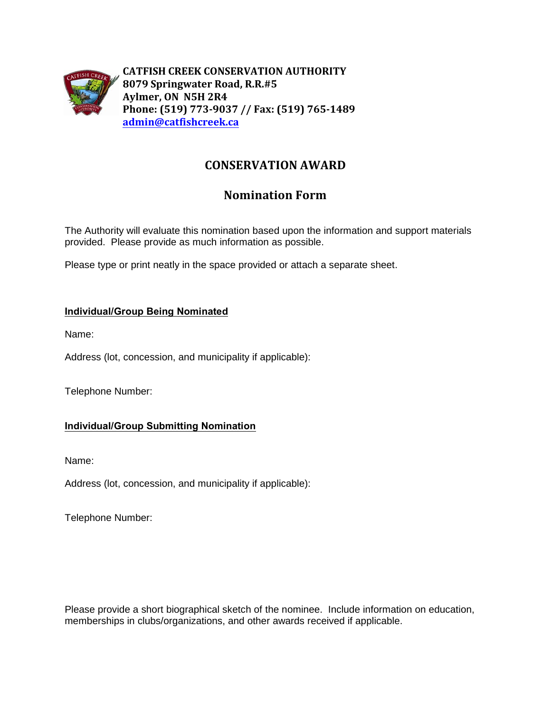

**CATFISH CREEK CONSERVATION AUTHORITY 8079 Springwater Road, R.R.#5 Aylmer, ON N5H 2R4 Phone: (519) 773-9037 // Fax: (519) 765-1489 [admin@catfishcreek.ca](mailto:admin@catfishcreek.ca)**

### **CONSERVATION AWARD**

## **Nomination Form**

The Authority will evaluate this nomination based upon the information and support materials provided. Please provide as much information as possible.

Please type or print neatly in the space provided or attach a separate sheet.

#### **Individual/Group Being Nominated**

Name:

Address (lot, concession, and municipality if applicable):

Telephone Number:

#### **Individual/Group Submitting Nomination**

Name:

Address (lot, concession, and municipality if applicable):

Telephone Number:

Please provide a short biographical sketch of the nominee. Include information on education, memberships in clubs/organizations, and other awards received if applicable.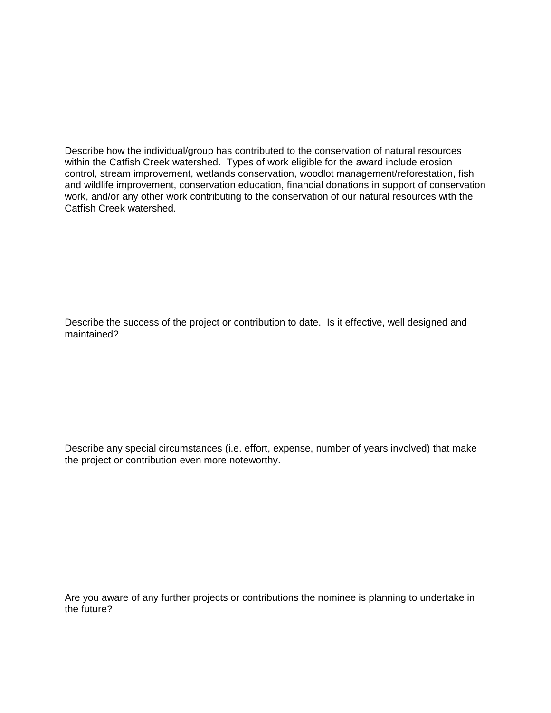Describe how the individual/group has contributed to the conservation of natural resources within the Catfish Creek watershed. Types of work eligible for the award include erosion control, stream improvement, wetlands conservation, woodlot management/reforestation, fish and wildlife improvement, conservation education, financial donations in support of conservation work, and/or any other work contributing to the conservation of our natural resources with the Catfish Creek watershed.

Describe the success of the project or contribution to date. Is it effective, well designed and maintained?

Describe any special circumstances (i.e. effort, expense, number of years involved) that make the project or contribution even more noteworthy.

Are you aware of any further projects or contributions the nominee is planning to undertake in the future?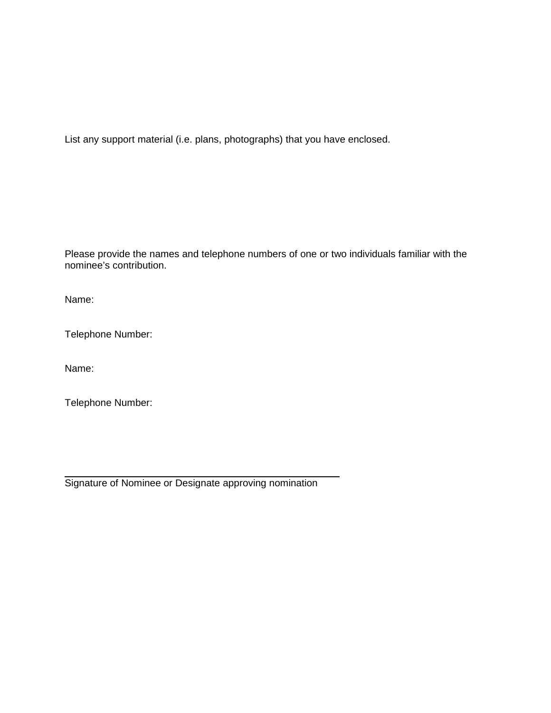List any support material (i.e. plans, photographs) that you have enclosed.

Please provide the names and telephone numbers of one or two individuals familiar with the nominee's contribution.

Name:

Telephone Number:

Name:

Telephone Number:

 $\overline{a}$ Signature of Nominee or Designate approving nomination